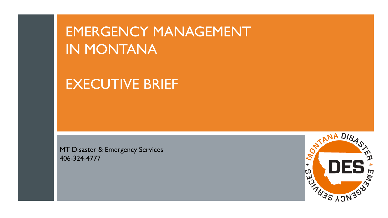# EMERGENCY MANAGEMENT IN MONTANA

# EXECUTIVE BRIEF

MT Disaster & Emergency Services 406-324-4777

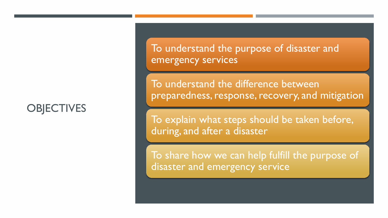### **OBJECTIVES**

To understand the purpose of disaster and emergency services

To understand the difference between preparedness, response, recovery, and mitigation

To explain what steps should be taken before, during, and after a disaster

To share how we can help fulfill the purpose of disaster and emergency service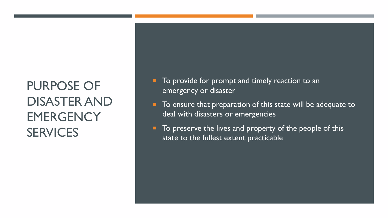# PURPOSE OF DISASTER AND **EMERGENCY SERVICES**

- $\blacksquare$  To provide for prompt and timely reaction to an emergency or disaster
- To ensure that preparation of this state will be adequate to deal with disasters or emergencies
- To preserve the lives and property of the people of this state to the fullest extent practicable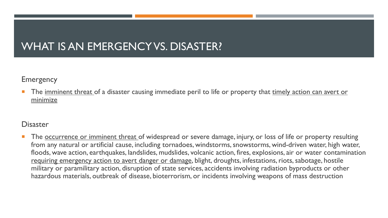### WHAT IS AN EMERGENCY VS. DISASTER?

Emergency

The imminent threat of a disaster causing immediate peril to life or property that timely action can avert or minimize

#### **Disaster**

The <u>occurrence or imminent threat</u> of widespread or severe damage, injury, or loss of life or property resulting from any natural or artificial cause, including tornadoes, windstorms, snowstorms, wind-driven water, high water, floods, wave action, earthquakes, landslides, mudslides, volcanic action, fires, explosions, air or water contamination requiring emergency action to avert danger or damage, blight, droughts, infestations, riots, sabotage, hostile military or paramilitary action, disruption of state services, accidents involving radiation byproducts or other hazardous materials, outbreak of disease, bioterrorism, or incidents involving weapons of mass destruction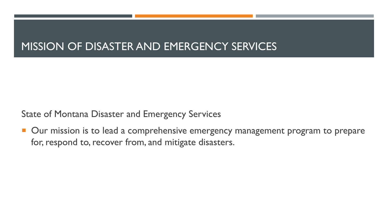### MISSION OF DISASTER AND EMERGENCY SERVICES

State of Montana Disaster and Emergency Services

**Our mission is to lead a comprehensive emergency management program to prepare** for, respond to, recover from, and mitigate disasters.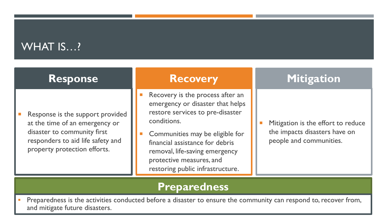### WHAT IS...?

| <b>Response</b>                                                                                                                                                        | <b>Recovery</b>                                                                                                                                                                                                                                                                                 | Mitigation                                                                                     |
|------------------------------------------------------------------------------------------------------------------------------------------------------------------------|-------------------------------------------------------------------------------------------------------------------------------------------------------------------------------------------------------------------------------------------------------------------------------------------------|------------------------------------------------------------------------------------------------|
| Response is the support provided<br>at the time of an emergency or<br>disaster to community first<br>responders to aid life safety and<br>property protection efforts. | Recovery is the process after an<br>emergency or disaster that helps<br>restore services to pre-disaster<br>conditions.<br>Communities may be eligible for<br>financial assistance for debris<br>removal, life-saving emergency<br>protective measures, and<br>restoring public infrastructure. | Mitigation is the effort to reduce<br>the impacts disasters have on<br>people and communities. |

### **Preparedness**

**Preparedness is the activities conducted before a disaster to ensure the community can respond to, recover from,** and mitigate future disasters.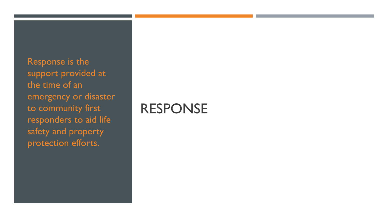Response is the support provided at the time of an emergency or disaster to community first responders to aid life safety and property protection efforts.

## RESPONSE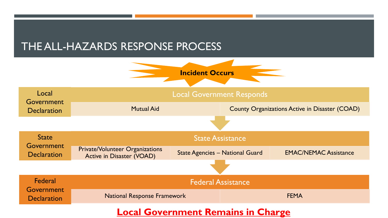### THE ALL-HAZARDS RESPONSE PROCESS



#### **Local Government Remains in Charge**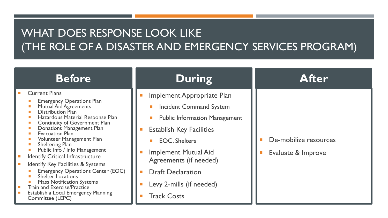## WHAT DOES RESPONSE LOOK LIKE (THE ROLE OF A DISASTER AND EMERGENCY SERVICES PROGRAM)

| <b>Before</b>                                                                                                                                                                                                                                                                                                                                                                                                                                                                                                                                                                                                                       | <b>During</b>                                                                                                                                                                                                                                                                                                              | <b>After</b>                                |
|-------------------------------------------------------------------------------------------------------------------------------------------------------------------------------------------------------------------------------------------------------------------------------------------------------------------------------------------------------------------------------------------------------------------------------------------------------------------------------------------------------------------------------------------------------------------------------------------------------------------------------------|----------------------------------------------------------------------------------------------------------------------------------------------------------------------------------------------------------------------------------------------------------------------------------------------------------------------------|---------------------------------------------|
| <b>Current Plans</b><br><b>Emergency Operations Plan</b><br>Mutual Aid Agreements<br>Distribution Plan<br>Hazardous Material Response Plan<br><b>Continuity of Government Plan</b><br>Donations Management Plan<br><b>Evacuation Plan</b><br>Volunteer Management Plan<br><b>Sheltering Plan</b><br>Public Info / Info Management<br><b>Identify Critical Infrastructure</b><br><b>Identify Key Facilities &amp; Systems</b><br><b>Emergency Operations Center (EOC)</b><br>Shelter Locations<br><b>Mass Notification Systems</b><br><b>Train and Exercise/Practice</b><br>Establish a Local Emergency Planning<br>Committee (LEPC) | Implement Appropriate Plan<br><b>Incident Command System</b><br><b>Public Information Management</b><br><b>Establish Key Facilities</b><br><b>EOC, Shelters</b><br><b>Implement Mutual Aid</b><br>Agreements (if needed)<br><b>Draft Declaration</b><br><b>The State</b><br>Levy 2-mills (if needed)<br><b>Track Costs</b> | De-mobilize resources<br>Evaluate & Improve |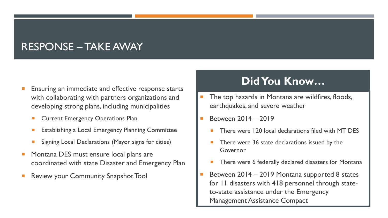### RESPONSE – TAKE AWAY

- Ensuring an immediate and effective response starts with collaborating with partners organizations and developing strong plans, including municipalities
	- Current Emergency Operations Plan
	- Establishing a Local Emergency Planning Committee
	- Signing Local Declarations (Mayor signs for cities)
- Montana DES must ensure local plans are coordinated with state Disaster and Emergency Plan
- Review your Community Snapshot Tool

### **Did You Know…**

- The top hazards in Montana are wildfires, floods, earthquakes, and severe weather
- Between 2014 2019
	- There were 120 local declarations filed with MT DES
	- There were 36 state declarations issued by the Governor
	- There were 6 federally declared disasters for Montana
- Between 2014 2019 Montana supported 8 states for 11 disasters with 418 personnel through stateto-state assistance under the Emergency Management Assistance Compact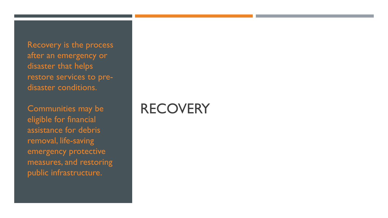Recovery is the process after an emergency or disaster that helps restore services to predisaster conditions.

Communities may be eligible for financial assistance for debris removal, life-saving emergency protective measures, and restoring public infrastructure.

# **RECOVERY**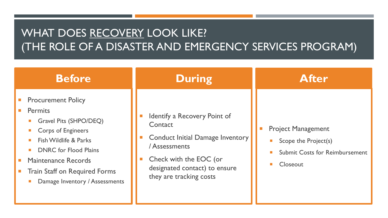## WHAT DOES RECOVERY LOOK LIKE? (THE ROLE OF A DISASTER AND EMERGENCY SERVICES PROGRAM)

| <b>Before</b>                                                                                                                                                                                                                                                       | <b>During</b>                                                                                                                                                                             | <b>After</b>                                                                                                                                              |
|---------------------------------------------------------------------------------------------------------------------------------------------------------------------------------------------------------------------------------------------------------------------|-------------------------------------------------------------------------------------------------------------------------------------------------------------------------------------------|-----------------------------------------------------------------------------------------------------------------------------------------------------------|
| <b>Procurement Policy</b><br><b>Permits</b><br>Gravel Pits (SHPO/DEQ)<br><b>Corps of Engineers</b><br>Fish Wildlife & Parks<br><b>DNRC</b> for Flood Plains<br><b>Maintenance Records</b><br><b>Train Staff on Required Forms</b><br>Damage Inventory / Assessments | Identify a Recovery Point of<br>Contact<br><b>Conduct Initial Damage Inventory</b><br>/ Assessments<br>Check with the EOC (or<br>designated contact) to ensure<br>they are tracking costs | <b>Project Management</b><br>Scope the Project(s)<br>$\mathcal{C}^{\mathcal{A}}$<br><b>Submit Costs for Reimbursement</b><br><b>The State</b><br>Closeout |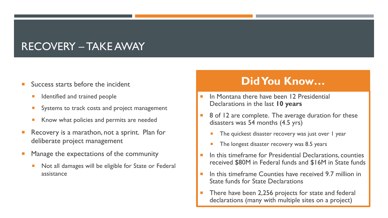### RECOVERY – TAKE AWAY

- Success starts before the incident
	- Identified and trained people
	- Systems to track costs and project management
	- Know what policies and permits are needed
- Recovery is a marathon, not a sprint. Plan for deliberate project management
- Manage the expectations of the community
	- Not all damages will be eligible for State or Federal assistance

### **Did You Know…**

- In Montana there have been 12 Presidential Declarations in the last **10 years**
- 8 of 12 are complete. The average duration for these disasters was 54 months (4.5 yrs)
	- The quickest disaster recovery was just over 1 year
	- The longest disaster recovery was 8.5 years
- In this timeframe for Presidential Declarations, counties received \$80M in Federal funds and \$16M in State funds
- In this timeframe Counties have received 9.7 million in State funds for State Declarations
- There have been 2,256 projects for state and federal declarations (many with multiple sites on a project)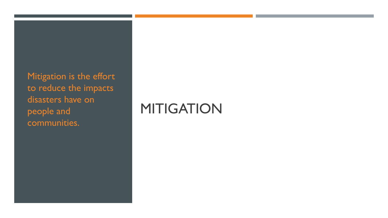Mitigation is the effort to reduce the impacts disasters have on people and communities.

# **MITIGATION**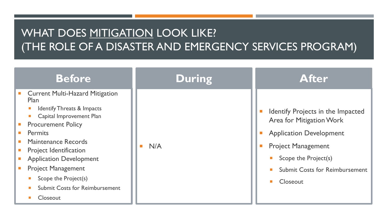## WHAT DOES MITIGATION LOOK LIKE? (THE ROLE OF A DISASTER AND EMERGENCY SERVICES PROGRAM)

| <b>Before</b>                                                                                                                                                                                                                                                                                                                                                                                                | <b>During</b> | <b>After</b>                                                                                                                                                                                                               |
|--------------------------------------------------------------------------------------------------------------------------------------------------------------------------------------------------------------------------------------------------------------------------------------------------------------------------------------------------------------------------------------------------------------|---------------|----------------------------------------------------------------------------------------------------------------------------------------------------------------------------------------------------------------------------|
| <b>Current Multi-Hazard Mitigation</b><br><b>Plan</b><br><b>Identify Threats &amp; Impacts</b><br>Capital Improvement Plan<br><b>Procurement Policy</b><br>$\mathcal{L}^{\mathcal{L}}$<br><b>Permits</b><br>Maintenance Records<br><b>Project Identification</b><br><b>Application Development</b><br><b>Project Management</b><br>Scope the Project(s)<br><b>Submit Costs for Reimbursement</b><br>Closeout | N/A           | Identify Projects in the Impacted<br>Area for Mitigation Work<br><b>Application Development</b><br><b>Project Management</b><br>Scope the Project(s)<br><b>I</b><br><b>Submit Costs for Reimbursement</b><br>П<br>Closeout |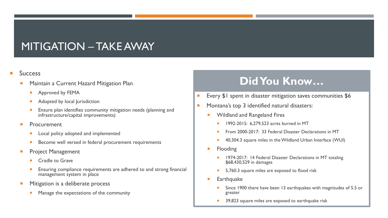### MITIGATION – TAKE AWAY

#### **Success**

- Maintain a Current Hazard Mitigation Plan
	- **Approved by FEMA**
	- **Adopted by local Jurisdiction**
	- Ensure plan identifies community mitigation needs (planning and infrastructure/capital improvements)
- Procurement
	- Local policy adopted and implemented
	- **Become well versed in federal procurement requirements**
- Project Management
	- Cradle to Grave
	- Ensuring compliance requirements are adhered to and strong financial management system in place
- Mitigation is a deliberate process
	- **Manage the expectations of the community**

### **Did You Know…**

- **Every \$1 spent in disaster mitigation saves communities \$6**
- **Montana's top 3 identified natural disasters:** 
	- Wildland and Rangeland Fires
		- 1992-2015: 6,279,523 acres burned in MT
		- From 2000-2017: 33 Federal Disaster Declarations in MT
		- 40,304.3 square miles in the Wildland Urban Interface (WUI)
	- **Flooding** 
		- 1974-2017: 14 Federal Disaster Declarations in MT totaling \$68,430,529 in damages
		- 5,760.3 square miles are exposed to flood risk
	- **Earthquake** 
		- Since 1900 there have been 13 earthquakes with magnitudes of 5.5 or greater
		- 39,823 square miles are exposed to earthquake risk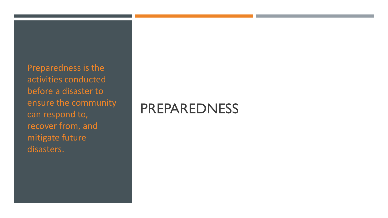Preparedness is the activities conducted before a disaster to ensure the community can respond to, recover from, and mitigate future disasters.

# PREPAREDNESS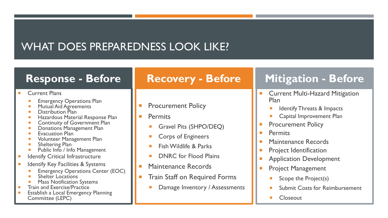### WHAT DOES PREPAREDNESS LOOK LIKE?

#### **Response - Before**

#### Current Plans

- Emergency Operations Plan
- Mutual Aid Agreements
- **Distribution Plan**
- **Hazardous Material Response Plan**
- Continuity of Government Plan
- **Donations Management Plan**
- Evacuation Plan
- Volunteer Management Plan
- Sheltering Plan
- Public Info / Info Management
- Identify Critical Infrastructure
- Identify Key Facilities & Systems
	- Emergency Operations Center (EOC)
	- Shelter Locations
	- Mass Notification Systems
- $\blacksquare$  Train and Exercise/Practice
- **Establish a Local Emergency Planning** Committee (LEPC)

### **Recovery - Before**

- **Procurement Policy**
- **Permits** 
	- Gravel Pits (SHPO/DEQ)
	- Corps of Engineers
	- Fish Wildlife & Parks
	- DNRC for Flood Plains
- Maintenance Records
- Train Staff on Required Forms
	- Damage Inventory / Assessments

## **Mitigation - Before**

- **E** Current Multi-Hazard Mitigation Plan
	- Identify Threats & Impacts
	- Capital Improvement Plan
- Procurement Policy
- **Permits**
- **Maintenance Records**
- **Project Identification**
- Application Development
- Project Management
	- Scope the Project(s)
	- Submit Costs for Reimbursement
	- Closeout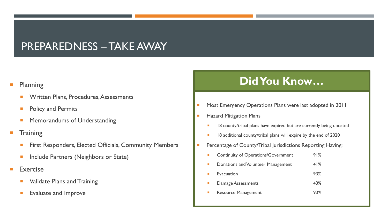### PREPAREDNESS – TAKE AWAY

#### **Planning**

- Written Plans, Procedures, Assessments
- Policy and Permits
- Memorandums of Understanding
- **Training** 
	- First Responders, Elected Officials, Community Members
	- Include Partners (Neighbors or State)
- Exercise
	- Validate Plans and Training
	- Evaluate and Improve

### **Did You Know…**

- **Most Emergency Operations Plans were last adopted in 2011**
- **Hazard Mitigation Plans** 
	- 18 county/tribal plans have expired but are currently being updated
	- **18** additional county/tribal plans will expire by the end of 2020
- **Percentage of County/Tribal Jurisdictions Reporting Having:** 
	- **Continuity of Operations/Government** 91% **Donations and Volunteer Management** 41% Evacuation 93% Damage Assessments **43% Resource Management** 93%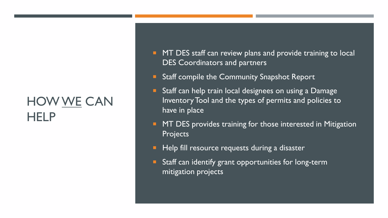# HOW WE CAN **HELP**

- **MT DES staff can review plans and provide training to local** DES Coordinators and partners
- **Staff compile the Community Snapshot Report**
- **Staff can help train local designees on using a Damage** Inventory Tool and the types of permits and policies to have in place
- **MT DES provides training for those interested in Mitigation** Projects
- **Help fill resource requests during a disaster**
- **E** Staff can identify grant opportunities for long-term mitigation projects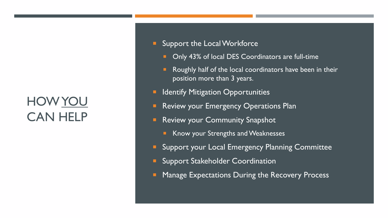# HOW YOU CAN HELP

- **Support the Local Workforce** 
	- **Only 43% of local DES Coordinators are full-time**
	- **Roughly half of the local coordinators have been in their** position more than 3 years.
- **E Identify Mitigation Opportunities**
- **Review your Emergency Operations Plan**
- **Review your Community Snapshot** 
	- Know your Strengths and Weaknesses
- **E** Support your Local Emergency Planning Committee
- **E** Support Stakeholder Coordination
- **E** Manage Expectations During the Recovery Process